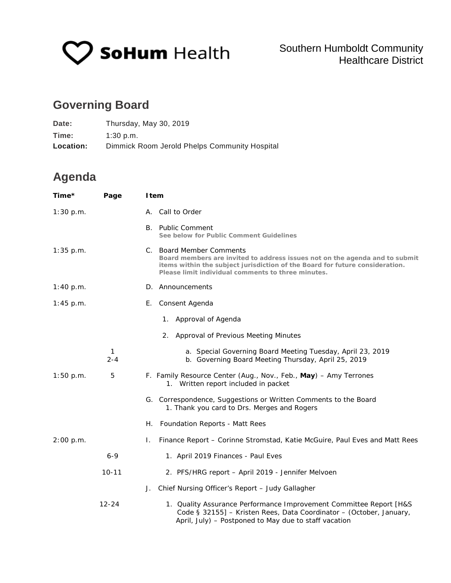

## **Governing Board**

| Date:     | Thursday, May 30, 2019                        |
|-----------|-----------------------------------------------|
| Time:     | 1:30 p.m.                                     |
| Location: | Dimmick Room Jerold Phelps Community Hospital |

## **Agenda**

| Time*       | Page         | I tem                                                                                                                                                                                                                                         |
|-------------|--------------|-----------------------------------------------------------------------------------------------------------------------------------------------------------------------------------------------------------------------------------------------|
| 1:30 p.m.   |              | A. Call to Order                                                                                                                                                                                                                              |
|             |              | B. Public Comment<br>See below for Public Comment Guidelines                                                                                                                                                                                  |
| $1:35$ p.m. |              | C. Board Member Comments<br>Board members are invited to address issues not on the agenda and to submit<br>items within the subject jurisdiction of the Board for future consideration.<br>Please limit individual comments to three minutes. |
| 1:40 p.m.   |              | D. Announcements                                                                                                                                                                                                                              |
| 1:45 p.m.   |              | E. Consent Agenda                                                                                                                                                                                                                             |
|             |              | 1. Approval of Agenda                                                                                                                                                                                                                         |
|             |              | 2. Approval of Previous Meeting Minutes                                                                                                                                                                                                       |
|             | 1<br>$2 - 4$ | a. Special Governing Board Meeting Tuesday, April 23, 2019<br>b. Governing Board Meeting Thursday, April 25, 2019                                                                                                                             |
| 1:50 p.m.   | 5            | F. Family Resource Center (Aug., Nov., Feb., May) - Amy Terrones<br>1. Written report included in packet                                                                                                                                      |
|             |              | G. Correspondence, Suggestions or Written Comments to the Board<br>1. Thank you card to Drs. Merges and Rogers                                                                                                                                |
|             |              | H. Foundation Reports - Matt Rees                                                                                                                                                                                                             |
| 2:00 p.m.   |              | Finance Report - Corinne Stromstad, Katie McGuire, Paul Eves and Matt Rees<br>L.                                                                                                                                                              |
|             | $6 - 9$      | 1. April 2019 Finances - Paul Eves                                                                                                                                                                                                            |
|             | $10 - 11$    | 2. PFS/HRG report - April 2019 - Jennifer Melvoen                                                                                                                                                                                             |
|             |              | J. Chief Nursing Officer's Report - Judy Gallagher                                                                                                                                                                                            |
|             | $12 - 24$    | 1. Quality Assurance Performance Improvement Committee Report [H&S<br>Code § 32155] - Kristen Rees, Data Coordinator - (October, January,<br>April, July) - Postponed to May due to staff vacation                                            |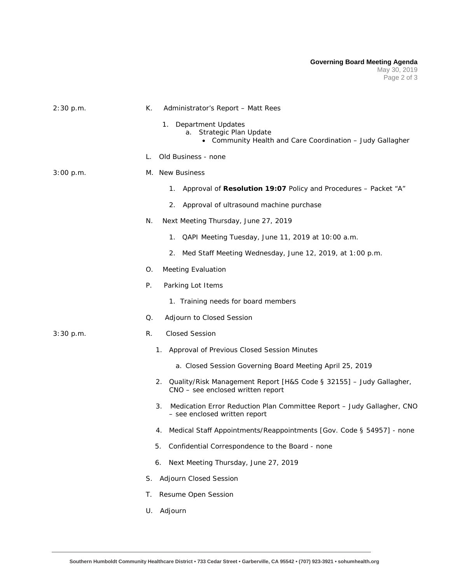| 2:30 p.m. | К.<br>Administrator's Report - Matt Rees                                                                          |
|-----------|-------------------------------------------------------------------------------------------------------------------|
|           | 1.<br>Department Updates<br>a. Strategic Plan Update<br>• Community Health and Care Coordination - Judy Gallagher |
|           | Old Business - none<br>L.                                                                                         |
| 3:00 p.m. | M. New Business                                                                                                   |
|           | Approval of Resolution 19:07 Policy and Procedures - Packet "A"<br>1.                                             |
|           | 2.<br>Approval of ultrasound machine purchase                                                                     |
|           | N.<br>Next Meeting Thursday, June 27, 2019                                                                        |
|           | QAPI Meeting Tuesday, June 11, 2019 at 10:00 a.m.<br>1.                                                           |
|           | Med Staff Meeting Wednesday, June 12, 2019, at 1:00 p.m.<br>2.                                                    |
|           | <b>Meeting Evaluation</b><br>О.                                                                                   |
|           | Ρ.<br>Parking Lot Items                                                                                           |
|           | 1. Training needs for board members                                                                               |
|           | Adjourn to Closed Session<br>Q.                                                                                   |
| 3:30 p.m. | <b>Closed Session</b><br>R.                                                                                       |
|           | 1. Approval of Previous Closed Session Minutes                                                                    |
|           | a. Closed Session Governing Board Meeting April 25, 2019                                                          |
|           | Quality/Risk Management Report [H&S Code § 32155] - Judy Gallagher,<br>2.<br>CNO - see enclosed written report    |
|           | Medication Error Reduction Plan Committee Report - Judy Gallagher, CNO<br>3.<br>- see enclosed written report     |
|           | 4. Medical Staff Appointments/Reappointments [Gov. Code § 54957] - none                                           |
|           | Confidential Correspondence to the Board - none<br>5.                                                             |
|           | Next Meeting Thursday, June 27, 2019<br>6.                                                                        |
|           | Adjourn Closed Session<br>S.                                                                                      |
|           | Resume Open Session<br>Τ.                                                                                         |
|           | U. Adjourn                                                                                                        |